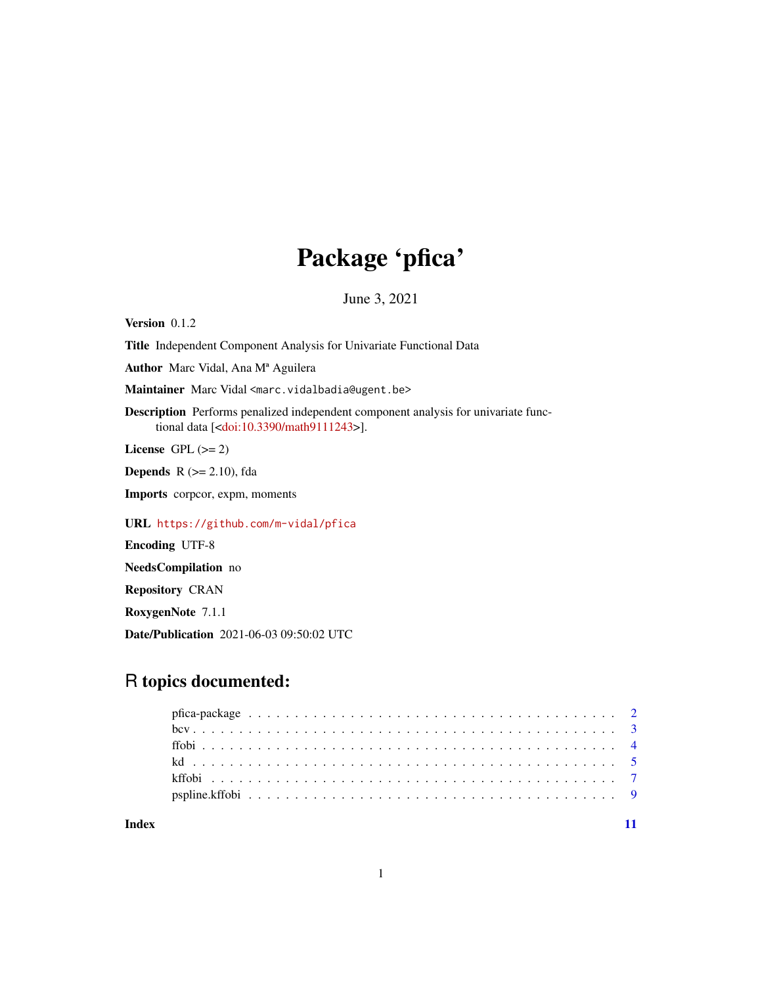# Package 'pfica'

June 3, 2021

Version 0.1.2 Title Independent Component Analysis for Univariate Functional Data Author Marc Vidal, Ana Mª Aguilera Maintainer Marc Vidal <marc.vidalbadia@ugent.be> Description Performs penalized independent component analysis for univariate functional data [[<doi:10.3390/math9111243>](https://doi.org/10.3390/math9111243)]. License GPL  $(>= 2)$ **Depends** R  $(>= 2.10)$ , fda Imports corpcor, expm, moments URL <https://github.com/m-vidal/pfica> Encoding UTF-8 NeedsCompilation no Repository CRAN RoxygenNote 7.1.1

## R topics documented:

Date/Publication 2021-06-03 09:50:02 UTC

#### **Index** [11](#page-10-0)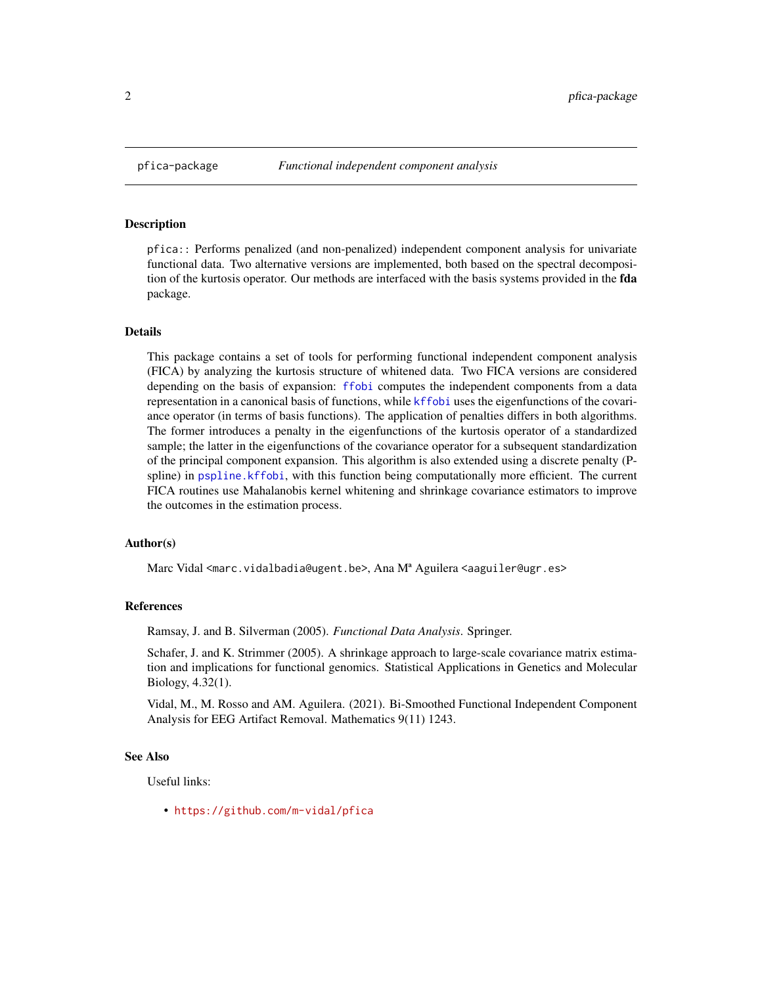<span id="page-1-0"></span>

pfica:: Performs penalized (and non-penalized) independent component analysis for univariate functional data. Two alternative versions are implemented, both based on the spectral decomposition of the kurtosis operator. Our methods are interfaced with the basis systems provided in the fda package.

#### Details

This package contains a set of tools for performing functional independent component analysis (FICA) by analyzing the kurtosis structure of whitened data. Two FICA versions are considered depending on the basis of expansion: [ffobi](#page-3-1) computes the independent components from a data representation in a canonical basis of functions, while [kffobi](#page-6-1) uses the eigenfunctions of the covariance operator (in terms of basis functions). The application of penalties differs in both algorithms. The former introduces a penalty in the eigenfunctions of the kurtosis operator of a standardized sample; the latter in the eigenfunctions of the covariance operator for a subsequent standardization of the principal component expansion. This algorithm is also extended using a discrete penalty (Pspline) in [pspline.kffobi](#page-8-1), with this function being computationally more efficient. The current FICA routines use Mahalanobis kernel whitening and shrinkage covariance estimators to improve the outcomes in the estimation process.

#### Author(s)

Marc Vidal <marc.vidalbadia@ugent.be>, Ana M<sup>a</sup> Aguilera <aaguiler@ugr.es>

#### References

Ramsay, J. and B. Silverman (2005). *Functional Data Analysis*. Springer.

Schafer, J. and K. Strimmer (2005). A shrinkage approach to large-scale covariance matrix estimation and implications for functional genomics. Statistical Applications in Genetics and Molecular Biology, 4.32(1).

Vidal, M., M. Rosso and AM. Aguilera. (2021). Bi-Smoothed Functional Independent Component Analysis for EEG Artifact Removal. Mathematics 9(11) 1243.

#### See Also

Useful links:

• <https://github.com/m-vidal/pfica>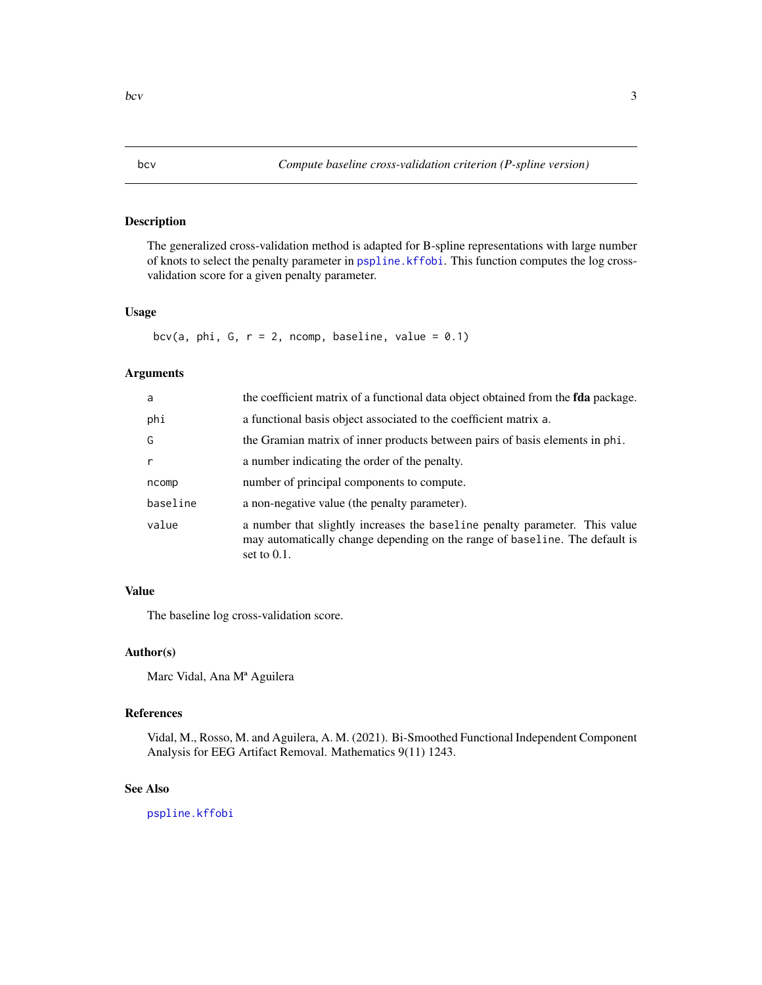The generalized cross-validation method is adapted for B-spline representations with large number of knots to select the penalty parameter in [pspline.kffobi](#page-8-1). This function computes the log crossvalidation score for a given penalty parameter.

#### Usage

bcv(a, phi, G,  $r = 2$ , ncomp, baseline, value = 0.1)

#### Arguments

| a        | the coefficient matrix of a functional data object obtained from the <b>fda</b> package.                                                                                     |
|----------|------------------------------------------------------------------------------------------------------------------------------------------------------------------------------|
| phi      | a functional basis object associated to the coefficient matrix a.                                                                                                            |
| G        | the Gramian matrix of inner products between pairs of basis elements in phi.                                                                                                 |
| r        | a number indicating the order of the penalty.                                                                                                                                |
| ncomp    | number of principal components to compute.                                                                                                                                   |
| baseline | a non-negative value (the penalty parameter).                                                                                                                                |
| value    | a number that slightly increases the baseline penalty parameter. This value<br>may automatically change depending on the range of baseline. The default is<br>set to $0.1$ . |

#### Value

The baseline log cross-validation score.

#### Author(s)

Marc Vidal, Ana Mª Aguilera

#### References

Vidal, M., Rosso, M. and Aguilera, A. M. (2021). Bi-Smoothed Functional Independent Component Analysis for EEG Artifact Removal. Mathematics 9(11) 1243.

#### See Also

[pspline.kffobi](#page-8-1)

<span id="page-2-1"></span><span id="page-2-0"></span>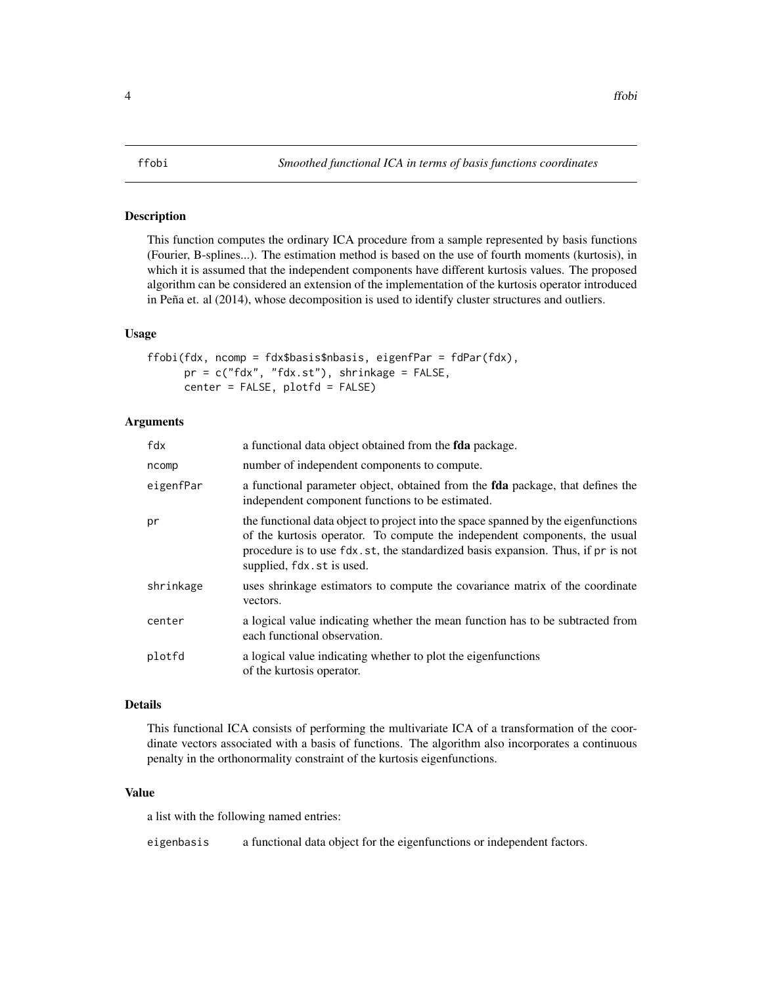<span id="page-3-1"></span><span id="page-3-0"></span>This function computes the ordinary ICA procedure from a sample represented by basis functions (Fourier, B-splines...). The estimation method is based on the use of fourth moments (kurtosis), in which it is assumed that the independent components have different kurtosis values. The proposed algorithm can be considered an extension of the implementation of the kurtosis operator introduced in Peña et. al (2014), whose decomposition is used to identify cluster structures and outliers.

#### Usage

```
ffobi(fdx, ncomp = fdx$basis$nbasis, eigenfPar = fdPar(fdx),
     pr = c("fdx", "fdx.st"), shrinkage = FALSE,
     center = FALSE, plotfd = FALSE)
```
#### Arguments

| a functional data object obtained from the <b>fda</b> package.                                                                                                                                                                                                                    |
|-----------------------------------------------------------------------------------------------------------------------------------------------------------------------------------------------------------------------------------------------------------------------------------|
| number of independent components to compute.                                                                                                                                                                                                                                      |
| a functional parameter object, obtained from the fda package, that defines the<br>independent component functions to be estimated.                                                                                                                                                |
| the functional data object to project into the space spanned by the eigenfunctions<br>of the kurtosis operator. To compute the independent components, the usual<br>procedure is to use fdx.st, the standardized basis expansion. Thus, if pr is not<br>supplied, fdx.st is used. |
| uses shrinkage estimators to compute the covariance matrix of the coordinate<br>vectors.                                                                                                                                                                                          |
| a logical value indicating whether the mean function has to be subtracted from<br>each functional observation.                                                                                                                                                                    |
| a logical value indicating whether to plot the eigenfunctions<br>of the kurtosis operator.                                                                                                                                                                                        |
|                                                                                                                                                                                                                                                                                   |

#### Details

This functional ICA consists of performing the multivariate ICA of a transformation of the coordinate vectors associated with a basis of functions. The algorithm also incorporates a continuous penalty in the orthonormality constraint of the kurtosis eigenfunctions.

#### Value

a list with the following named entries:

eigenbasis a functional data object for the eigenfunctions or independent factors.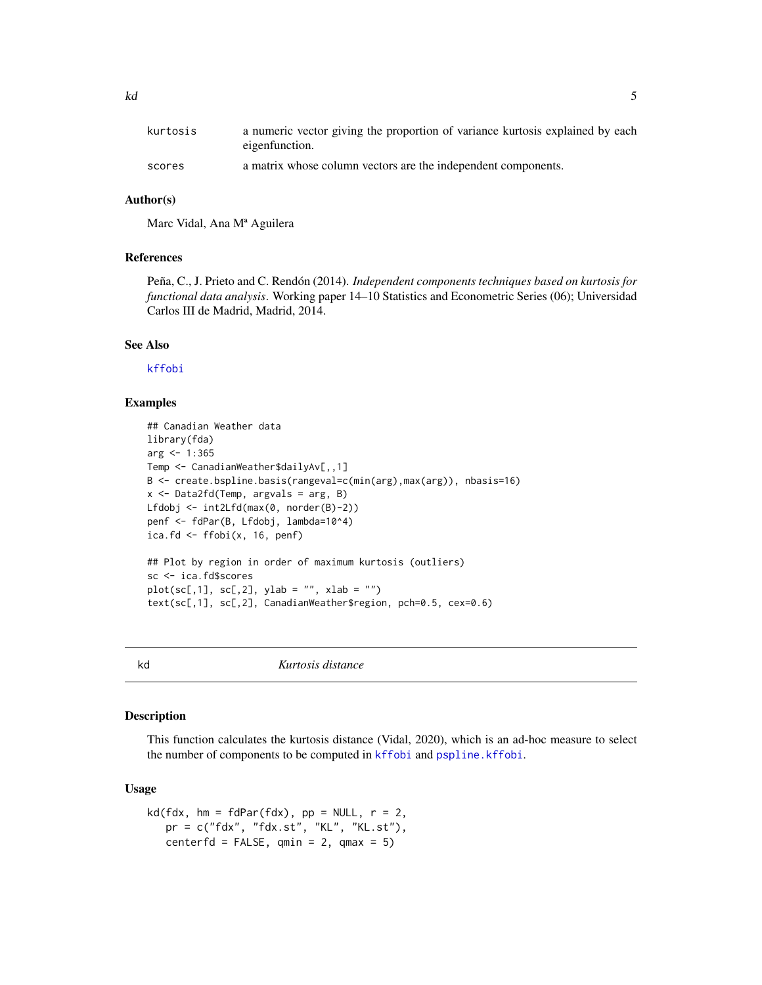<span id="page-4-0"></span>

| kurtosis | a numeric vector giving the proportion of variance kurtosis explained by each<br>eigenfunction. |
|----------|-------------------------------------------------------------------------------------------------|
| scores   | a matrix whose column vectors are the independent components.                                   |

#### Author(s)

Marc Vidal, Ana Mª Aguilera

#### References

Peña, C., J. Prieto and C. Rendón (2014). *Independent components techniques based on kurtosis for functional data analysis*. Working paper 14–10 Statistics and Econometric Series (06); Universidad Carlos III de Madrid, Madrid, 2014.

#### See Also

[kffobi](#page-6-1)

#### Examples

```
## Canadian Weather data
library(fda)
arg < -1:365Temp <- CanadianWeather$dailyAv[,,1]
B <- create.bspline.basis(rangeval=c(min(arg),max(arg)), nbasis=16)
x \le - Data2fd(Temp, argvals = arg, B)
Lfdobj <- int2Lfd(max(0, norder(B)-2))
penf <- fdPar(B, Lfdobj, lambda=10^4)
ica.fd \leq ffobi(x, 16, penf)
## Plot by region in order of maximum kurtosis (outliers)
sc <- ica.fd$scores
plot(sc[, 1], sc[, 2], ylab = "", xlab = "")text(sc[,1], sc[,2], CanadianWeather$region, pch=0.5, cex=0.6)
```
<span id="page-4-1"></span>kd *Kurtosis distance*

#### Description

This function calculates the kurtosis distance (Vidal, 2020), which is an ad-hoc measure to select the number of components to be computed in [kffobi](#page-6-1) and [pspline.kffobi](#page-8-1).

#### Usage

```
kd(fdx, hm = fdPar(fdx), pp = NULL, r = 2,pr = c("fdx", "fdx.st", "KL", "KL.st"),
   centerfd = FALSE, qmin = 2, qmax = 5)
```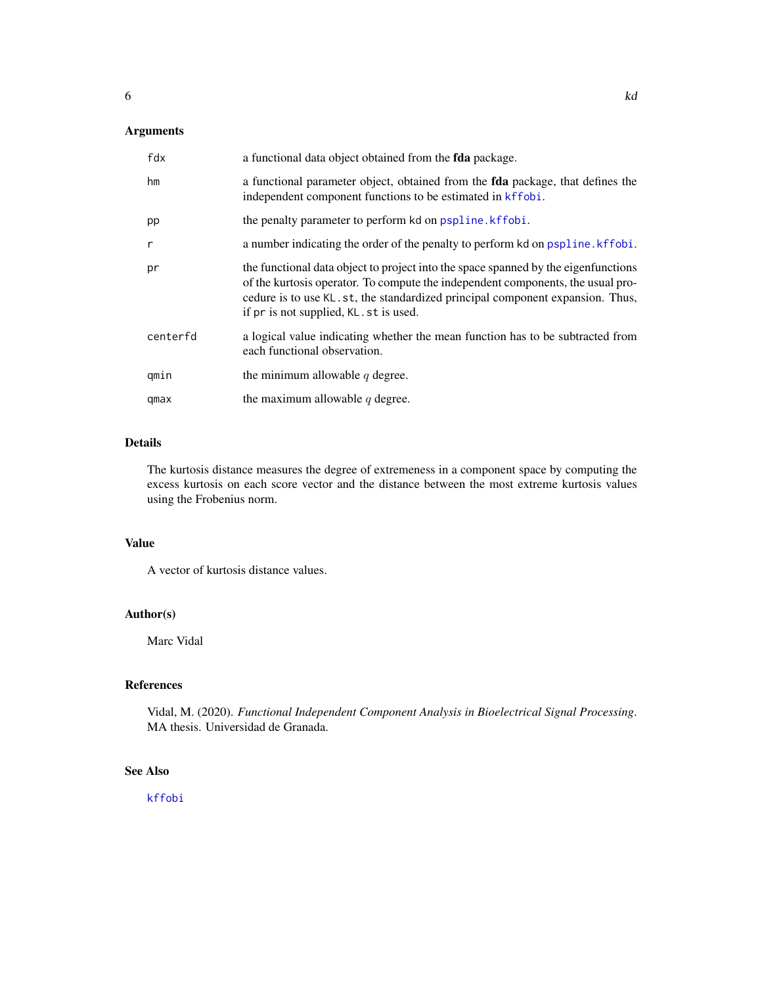### <span id="page-5-0"></span>Arguments

| fdx      | a functional data object obtained from the <b>fda</b> package.                                                                                                                                                                                                                                    |
|----------|---------------------------------------------------------------------------------------------------------------------------------------------------------------------------------------------------------------------------------------------------------------------------------------------------|
| hm       | a functional parameter object, obtained from the <b>fda</b> package, that defines the<br>independent component functions to be estimated in kffobi.                                                                                                                                               |
| pp       | the penalty parameter to perform kd on pspline. kffobi.                                                                                                                                                                                                                                           |
| r        | a number indicating the order of the penalty to perform kd on pspline. kffobi.                                                                                                                                                                                                                    |
| pr       | the functional data object to project into the space spanned by the eigenfunctions<br>of the kurtosis operator. To compute the independent components, the usual pro-<br>cedure is to use KL.st, the standardized principal component expansion. Thus,<br>if pr is not supplied, KL . st is used. |
| centerfd | a logical value indicating whether the mean function has to be subtracted from<br>each functional observation.                                                                                                                                                                                    |
| qmin     | the minimum allowable $q$ degree.                                                                                                                                                                                                                                                                 |
| qmax     | the maximum allowable $q$ degree.                                                                                                                                                                                                                                                                 |

#### Details

The kurtosis distance measures the degree of extremeness in a component space by computing the excess kurtosis on each score vector and the distance between the most extreme kurtosis values using the Frobenius norm.

#### Value

A vector of kurtosis distance values.

#### Author(s)

Marc Vidal

#### References

Vidal, M. (2020). *Functional Independent Component Analysis in Bioelectrical Signal Processing*. MA thesis. Universidad de Granada.

#### See Also

[kffobi](#page-6-1)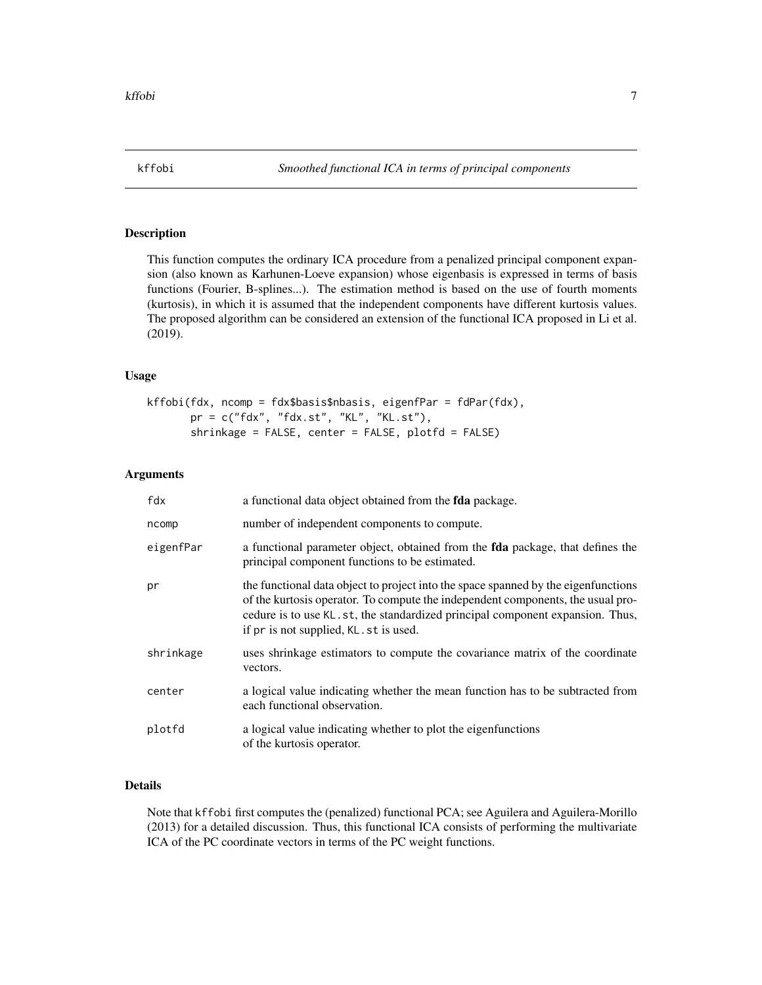<span id="page-6-1"></span><span id="page-6-0"></span>This function computes the ordinary ICA procedure from a penalized principal component expansion (also known as Karhunen-Loeve expansion) whose eigenbasis is expressed in terms of basis functions (Fourier, B-splines...). The estimation method is based on the use of fourth moments (kurtosis), in which it is assumed that the independent components have different kurtosis values. The proposed algorithm can be considered an extension of the functional ICA proposed in Li et al. (2019).

#### Usage

kffobi(fdx, ncomp = fdx\$basis\$nbasis, eigenfPar = fdPar(fdx), pr = c("fdx", "fdx.st", "KL", "KL.st"), shrinkage = FALSE, center = FALSE, plotfd = FALSE)

#### Arguments

| fdx       | a functional data object obtained from the <b>fda</b> package.                                                                                                                                                                                                                                    |
|-----------|---------------------------------------------------------------------------------------------------------------------------------------------------------------------------------------------------------------------------------------------------------------------------------------------------|
| ncomp     | number of independent components to compute.                                                                                                                                                                                                                                                      |
| eigenfPar | a functional parameter object, obtained from the <b>fda</b> package, that defines the<br>principal component functions to be estimated.                                                                                                                                                           |
| pr        | the functional data object to project into the space spanned by the eigenfunctions<br>of the kurtosis operator. To compute the independent components, the usual pro-<br>cedure is to use KL.st, the standardized principal component expansion. Thus,<br>if pr is not supplied, KL . st is used. |
| shrinkage | uses shrinkage estimators to compute the covariance matrix of the coordinate<br>vectors.                                                                                                                                                                                                          |
| center    | a logical value indicating whether the mean function has to be subtracted from<br>each functional observation.                                                                                                                                                                                    |
| plotfd    | a logical value indicating whether to plot the eigenfunctions<br>of the kurtosis operator.                                                                                                                                                                                                        |

#### Details

Note that kffobi first computes the (penalized) functional PCA; see Aguilera and Aguilera-Morillo (2013) for a detailed discussion. Thus, this functional ICA consists of performing the multivariate ICA of the PC coordinate vectors in terms of the PC weight functions.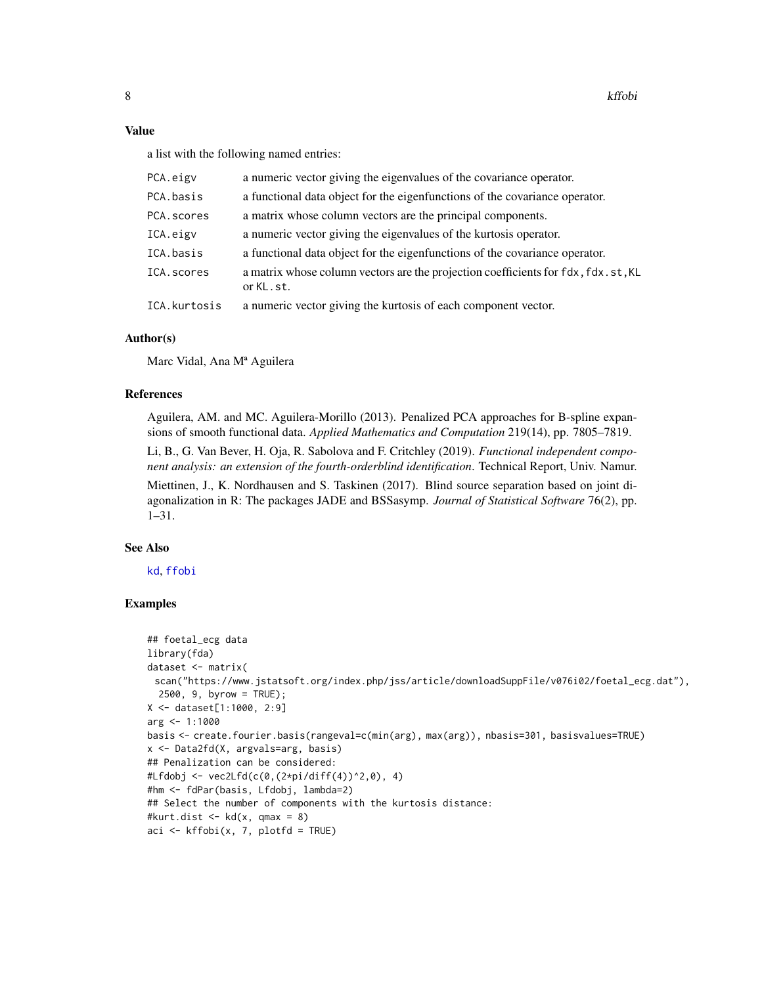#### <span id="page-7-0"></span>Value

a list with the following named entries:

| PCA.eigv     | a numeric vector giving the eigenvalues of the covariance operator.                            |
|--------------|------------------------------------------------------------------------------------------------|
| PCA.basis    | a functional data object for the eigenfunctions of the covariance operator.                    |
| PCA.scores   | a matrix whose column vectors are the principal components.                                    |
| ICA.eigv     | a numeric vector giving the eigenvalues of the kurtosis operator.                              |
| ICA.basis    | a functional data object for the eigenfunctions of the covariance operator.                    |
| ICA.scores   | a matrix whose column vectors are the projection coefficients for fdx, fdx.st, KL<br>or KL.st. |
| ICA.kurtosis | a numeric vector giving the kurtosis of each component vector.                                 |

#### Author(s)

Marc Vidal, Ana Mª Aguilera

#### References

Aguilera, AM. and MC. Aguilera-Morillo (2013). Penalized PCA approaches for B-spline expansions of smooth functional data. *Applied Mathematics and Computation* 219(14), pp. 7805–7819.

Li, B., G. Van Bever, H. Oja, R. Sabolova and F. Critchley (2019). *Functional independent component analysis: an extension of the fourth-orderblind identification*. Technical Report, Univ. Namur.

Miettinen, J., K. Nordhausen and S. Taskinen (2017). Blind source separation based on joint diagonalization in R: The packages JADE and BSSasymp. *Journal of Statistical Software* 76(2), pp. 1–31.

#### See Also

[kd](#page-4-1), [ffobi](#page-3-1)

#### Examples

```
## foetal_ecg data
library(fda)
dataset <- matrix(
 scan("https://www.jstatsoft.org/index.php/jss/article/downloadSuppFile/v076i02/foetal_ecg.dat"),
  2500, 9, byrow = TRUE);
X <- dataset[1:1000, 2:9]
arg < -1:1000basis <- create.fourier.basis(rangeval=c(min(arg), max(arg)), nbasis=301, basisvalues=TRUE)
x <- Data2fd(X, argvals=arg, basis)
## Penalization can be considered:
#Lfdobj <- vec2Lfd(c(0,(2*pi/diff(4))^2,0), 4)
#hm <- fdPar(basis, Lfdobj, lambda=2)
## Select the number of components with the kurtosis distance:
#kurt.dist \leq kd(x, qmax = 8)
aci \leftarrow kffobi(x, 7, plotfd = TRUE)
```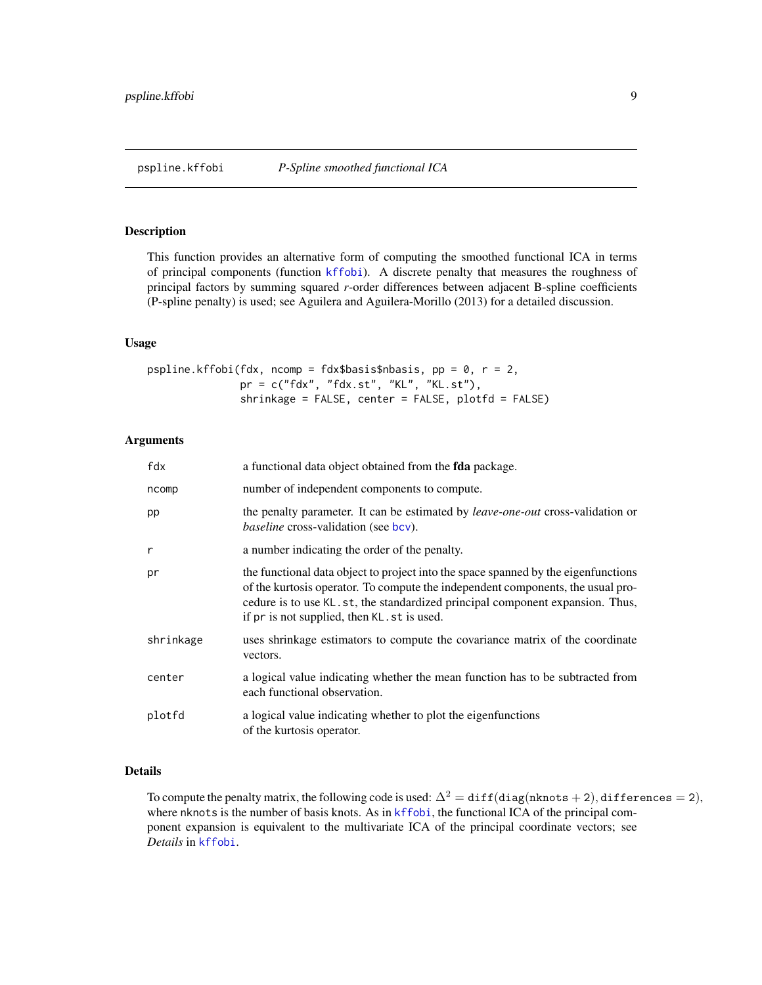<span id="page-8-1"></span><span id="page-8-0"></span>This function provides an alternative form of computing the smoothed functional ICA in terms of principal components (function [kffobi](#page-6-1)). A discrete penalty that measures the roughness of principal factors by summing squared *r*-order differences between adjacent B-spline coefficients (P-spline penalty) is used; see Aguilera and Aguilera-Morillo (2013) for a detailed discussion.

#### Usage

pspline.kffobi(fdx, ncomp = fdx\$basis\$nbasis, pp = 0,  $r = 2$ , pr = c("fdx", "fdx.st", "KL", "KL.st"), shrinkage = FALSE, center = FALSE, plotfd = FALSE)

#### Arguments

| fdx       | a functional data object obtained from the <b>fda</b> package.                                                                                                                                                                                                                                         |
|-----------|--------------------------------------------------------------------------------------------------------------------------------------------------------------------------------------------------------------------------------------------------------------------------------------------------------|
| ncomp     | number of independent components to compute.                                                                                                                                                                                                                                                           |
| pp        | the penalty parameter. It can be estimated by leave-one-out cross-validation or<br><i>baseline</i> cross-validation (see bcv).                                                                                                                                                                         |
| r         | a number indicating the order of the penalty.                                                                                                                                                                                                                                                          |
| pr        | the functional data object to project into the space spanned by the eigenfunctions<br>of the kurtosis operator. To compute the independent components, the usual pro-<br>cedure is to use KL.st, the standardized principal component expansion. Thus,<br>if pr is not supplied, then KL . st is used. |
| shrinkage | uses shrinkage estimators to compute the covariance matrix of the coordinate<br>vectors.                                                                                                                                                                                                               |
| center    | a logical value indicating whether the mean function has to be subtracted from<br>each functional observation.                                                                                                                                                                                         |
| plotfd    | a logical value indicating whether to plot the eigenfunctions<br>of the kurtosis operator.                                                                                                                                                                                                             |

#### Details

To compute the penalty matrix, the following code is used:  $\Delta^2 = \text{diff}(\text{diag}(\text{nknots} + 2), \text{difference} = 2)$ , where nknots is the number of basis knots. As in [kffobi](#page-6-1), the functional ICA of the principal component expansion is equivalent to the multivariate ICA of the principal coordinate vectors; see *Details* in [kffobi](#page-6-1).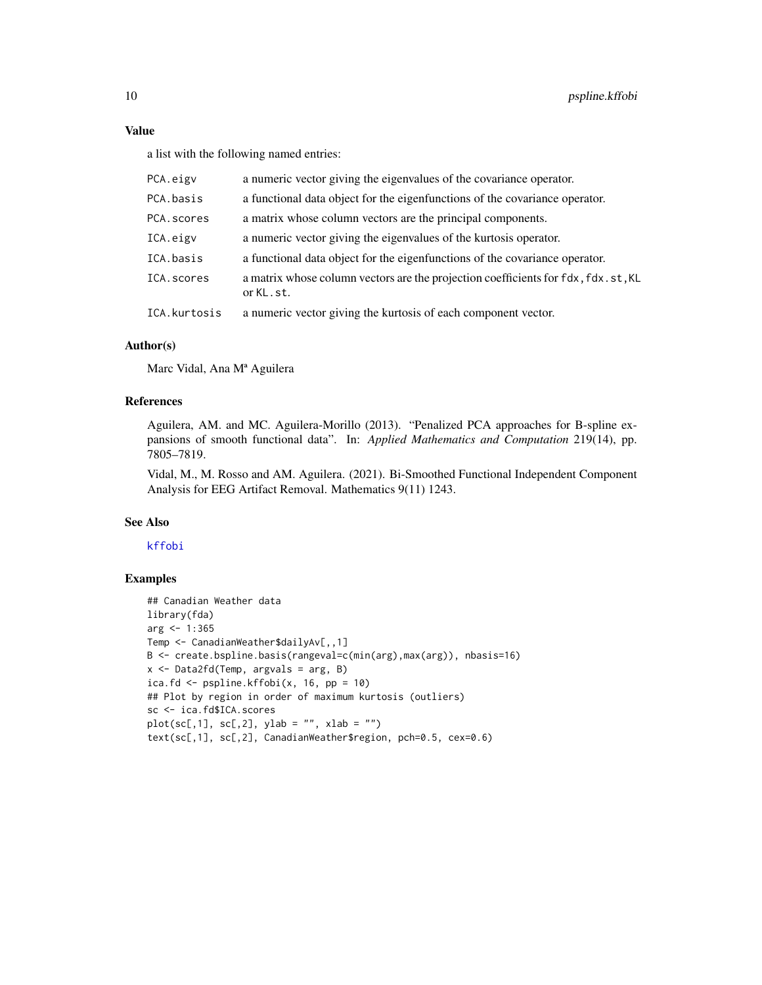#### <span id="page-9-0"></span>Value

a list with the following named entries:

| PCA.eigv     | a numeric vector giving the eigenvalues of the covariance operator.                            |
|--------------|------------------------------------------------------------------------------------------------|
| PCA.basis    | a functional data object for the eigenfunctions of the covariance operator.                    |
| PCA.scores   | a matrix whose column vectors are the principal components.                                    |
| ICA.eigv     | a numeric vector giving the eigenvalues of the kurtosis operator.                              |
| ICA.basis    | a functional data object for the eigenfunctions of the covariance operator.                    |
| ICA.scores   | a matrix whose column vectors are the projection coefficients for fdx, fdx.st, KL<br>or KL.st. |
| ICA.kurtosis | a numeric vector giving the kurtosis of each component vector.                                 |

#### Author(s)

Marc Vidal, Ana Mª Aguilera

#### References

Aguilera, AM. and MC. Aguilera-Morillo (2013). "Penalized PCA approaches for B-spline expansions of smooth functional data". In: *Applied Mathematics and Computation* 219(14), pp. 7805–7819.

Vidal, M., M. Rosso and AM. Aguilera. (2021). Bi-Smoothed Functional Independent Component Analysis for EEG Artifact Removal. Mathematics 9(11) 1243.

#### See Also

#### [kffobi](#page-6-1)

#### Examples

```
## Canadian Weather data
library(fda)
arg < -1:365Temp <- CanadianWeather$dailyAv[,,1]
B <- create.bspline.basis(rangeval=c(min(arg),max(arg)), nbasis=16)
x \le - Data2fd(Temp, argvals = arg, B)
ica.fd \leq pspline.kffobi(x, 16, pp = 10)
## Plot by region in order of maximum kurtosis (outliers)
sc <- ica.fd$ICA.scores
plot(sc[,1], sc[,2], ylab = "", xlab = "")
text(sc[,1], sc[,2], CanadianWeather$region, pch=0.5, cex=0.6)
```